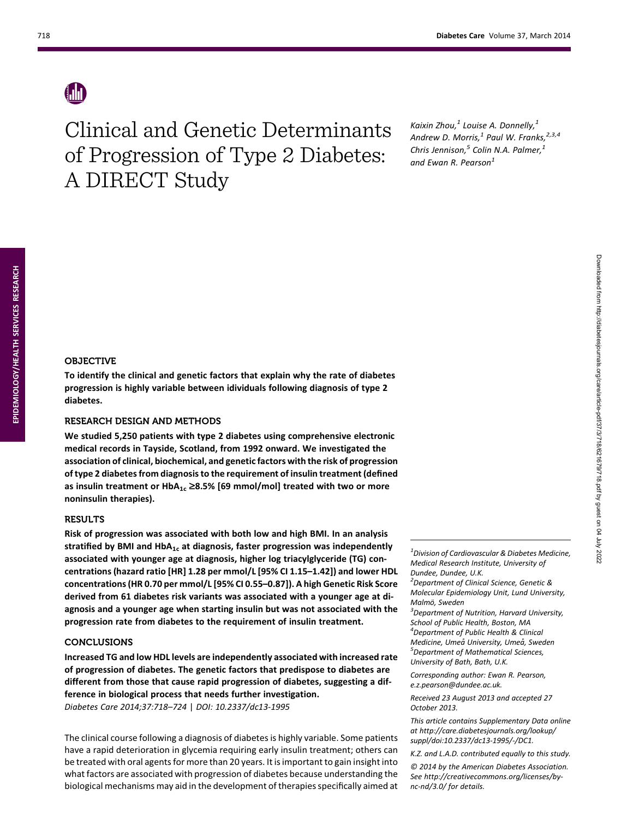# Clinical and Genetic Determinants of Progression of Type 2 Diabetes: A DIRECT Study

Kaixin Zhou, $<sup>1</sup>$  Louise A. Donnelly, $<sup>1</sup>$ </sup></sup> Andrew D. Morris, $^1$  Paul W. Franks,  $^{2,3,4}$ Chris Jennison, $5$  Colin N.A. Palmer, $1$ and Ewan R. Pearson $<sup>1</sup>$ </sup>

# OBJECTIVE

To identify the clinical and genetic factors that explain why the rate of diabetes progression is highly variable between idividuals following diagnosis of type 2 diabetes.

# RESEARCH DESIGN AND METHODS

We studied 5,250 patients with type 2 diabetes using comprehensive electronic medical records in Tayside, Scotland, from 1992 onward. We investigated the association of clinical, biochemical, and genetic factors with the risk of progression of type 2 diabetes from diagnosis to the requirement of insulin treatment (defined as insulin treatment or  $HbA_{1c} \geq 8.5\%$  [69 mmol/mol] treated with two or more noninsulin therapies).

# **RESULTS**

Risk of progression was associated with both low and high BMI. In an analysis stratified by BMI and  $HbA_{1c}$  at diagnosis, faster progression was independently associated with younger age at diagnosis, higher log triacylglyceride (TG) concentrations (hazard ratio [HR] 1.28 per mmol/L [95% CI 1.15–1.42]) and lower HDL concentrations (HR 0.70 per mmol/L [95% CI 0.55–0.87]). A high Genetic Risk Score derived from 61 diabetes risk variants was associated with a younger age at diagnosis and a younger age when starting insulin but was not associated with the progression rate from diabetes to the requirement of insulin treatment.

# CONCLUSIONS

Increased TG and low HDL levels are independently associated with increased rate of progression of diabetes. The genetic factors that predispose to diabetes are different from those that cause rapid progression of diabetes, suggesting a difference in biological process that needs further investigation. Diabetes Care 2014;37:718–724 | DOI: 10.2337/dc13-1995

The clinical course following a diagnosis of diabetes is highly variable. Some patients have a rapid deterioration in glycemia requiring early insulin treatment; others can be treated with oral agents for more than 20 years. It is important to gain insight into what factors are associated with progression of diabetes because understanding the biological mechanisms may aid in the development of therapies specifically aimed at

 $1$ Division of Cardiovascular & Diabetes Medicine, Medical Research Institute, University of Dundee, Dundee, U.K.

<sup>2</sup> Department of Clinical Science, Genetic & Molecular Epidemiology Unit, Lund University, Malmö, Sweden

Department of Nutrition, Harvard University, School of Public Health, Boston, MA 4 Department of Public Health & Clinical Medicine, Umeå University, Umeå, Sweden <sup>5</sup>Department of Mathematical Sciences, University of Bath, Bath, U.K.

Corresponding author: Ewan R. Pearson, [e.z.pearson@dundee.ac.uk.](mailto:e.<?show $132#?>z.<?show $132#?>pearson@dundee.ac.uk)

Received 23 August 2013 and accepted 27 October 2013.

This article contains Supplementary Data online at [http://care.diabetesjournals.org/lookup/](http://care.diabetesjournals.org/lookup/suppl/doi:10.2337/dc13-1995/-/DC1) [suppl/doi:10.2337/dc13-1995/-/DC1.](http://care.diabetesjournals.org/lookup/suppl/doi:10.2337/dc13-1995/-/DC1)

K.Z. and L.A.D. contributed equally to this study.

© 2014 by the American Diabetes Association. See [http://creativecommons.org/licenses/by](http://creativecommons.org/licenses/by-nc-nd/3.0/)[nc-nd/3.0/](http://creativecommons.org/licenses/by-nc-nd/3.0/) for details.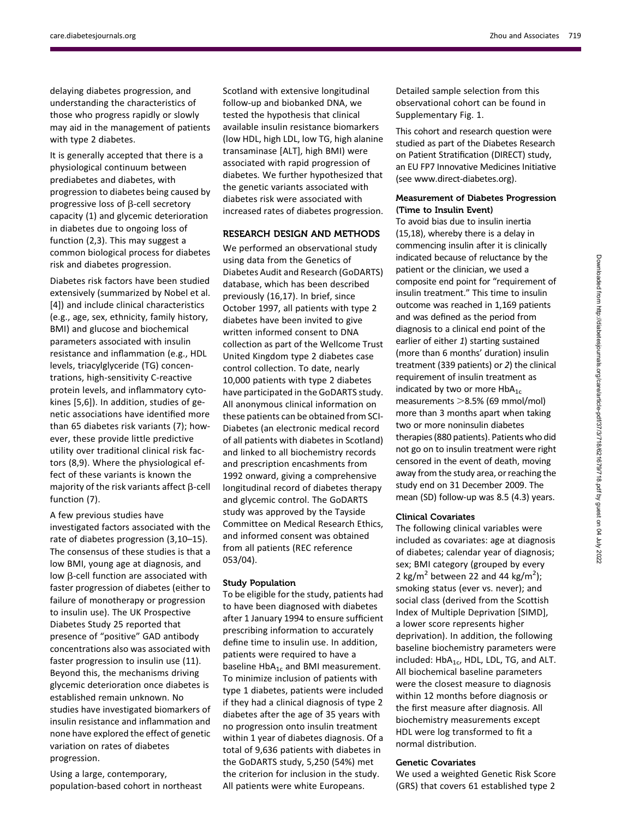delaying diabetes progression, and understanding the characteristics of those who progress rapidly or slowly may aid in the management of patients with type 2 diabetes.

It is generally accepted that there is a physiological continuum between prediabetes and diabetes, with progression to diabetes being caused by progressive loss of  $\beta$ -cell secretory capacity (1) and glycemic deterioration in diabetes due to ongoing loss of function (2,3). This may suggest a common biological process for diabetes risk and diabetes progression.

Diabetes risk factors have been studied extensively (summarized by Nobel et al. [4]) and include clinical characteristics (e.g., age, sex, ethnicity, family history, BMI) and glucose and biochemical parameters associated with insulin resistance and inflammation (e.g., HDL levels, triacylglyceride (TG) concentrations, high-sensitivity C-reactive protein levels, and inflammatory cytokines [5,6]). In addition, studies of genetic associations have identified more than 65 diabetes risk variants (7); however, these provide little predictive utility over traditional clinical risk factors (8,9). Where the physiological effect of these variants is known the majority of the risk variants affect  $\beta$ -cell function (7).

A few previous studies have investigated factors associated with the rate of diabetes progression (3,10–15). The consensus of these studies is that a low BMI, young age at diagnosis, and low  $\beta$ -cell function are associated with faster progression of diabetes (either to failure of monotherapy or progression to insulin use). The UK Prospective Diabetes Study 25 reported that presence of "positive" GAD antibody concentrations also was associated with faster progression to insulin use (11). Beyond this, the mechanisms driving glycemic deterioration once diabetes is established remain unknown. No studies have investigated biomarkers of insulin resistance and inflammation and none have explored the effect of genetic variation on rates of diabetes progression.

Using a large, contemporary, population-based cohort in northeast Scotland with extensive longitudinal follow-up and biobanked DNA, we tested the hypothesis that clinical available insulin resistance biomarkers (low HDL, high LDL, low TG, high alanine transaminase [ALT], high BMI) were associated with rapid progression of diabetes. We further hypothesized that the genetic variants associated with diabetes risk were associated with increased rates of diabetes progression.

#### RESEARCH DESIGN AND METHODS

We performed an observational study using data from the Genetics of Diabetes Audit and Research (GoDARTS) database, which has been described previously (16,17). In brief, since October 1997, all patients with type 2 diabetes have been invited to give written informed consent to DNA collection as part of the Wellcome Trust United Kingdom type 2 diabetes case control collection. To date, nearly 10,000 patients with type 2 diabetes have participated in the GoDARTS study. All anonymous clinical information on these patients can be obtained from SCI-Diabetes (an electronic medical record of all patients with diabetes in Scotland) and linked to all biochemistry records and prescription encashments from 1992 onward, giving a comprehensive longitudinal record of diabetes therapy and glycemic control. The GoDARTS study was approved by the Tayside Committee on Medical Research Ethics, and informed consent was obtained from all patients (REC reference 053/04).

#### Study Population

To be eligible for the study, patients had to have been diagnosed with diabetes after 1 January 1994 to ensure sufficient prescribing information to accurately define time to insulin use. In addition, patients were required to have a baseline  $HbA_{1c}$  and BMI measurement. To minimize inclusion of patients with type 1 diabetes, patients were included if they had a clinical diagnosis of type 2 diabetes after the age of 35 years with no progression onto insulin treatment within 1 year of diabetes diagnosis. Of a total of 9,636 patients with diabetes in the GoDARTS study, 5,250 (54%) met the criterion for inclusion in the study. All patients were white Europeans.

Detailed sample selection from this observational cohort can be found in [Supplementary Fig. 1.](http://care.diabetesjournals.org/lookup/suppl/doi:10.2337/dc13-1995/-/DC1)

This cohort and research question were studied as part of the Diabetes Research on Patient Stratification (DIRECT) study, an EU FP7 Innovative Medicines Initiative (see [www.direct-diabetes.org](http://www.direct-diabetes.org)).

# Measurement of Diabetes Progression (Time to Insulin Event)

To avoid bias due to insulin inertia (15,18), whereby there is a delay in commencing insulin after it is clinically indicated because of reluctance by the patient or the clinician, we used a composite end point for "requirement of insulin treatment." This time to insulin outcome was reached in 1,169 patients and was defined as the period from diagnosis to a clinical end point of the earlier of either 1) starting sustained (more than 6 months' duration) insulin treatment (339 patients) or 2) the clinical requirement of insulin treatment as indicated by two or more  $HbA_{1c}$ measurements  $>8.5%$  (69 mmol/mol) more than 3 months apart when taking two or more noninsulin diabetes therapies (880 patients). Patients who did not go on to insulin treatment were right censored in the event of death, moving away from the study area, or reaching the study end on 31 December 2009. The mean (SD) follow-up was 8.5 (4.3) years.

#### Clinical Covariates

The following clinical variables were included as covariates: age at diagnosis of diabetes; calendar year of diagnosis; sex; BMI category (grouped by every 2 kg/m<sup>2</sup> between 22 and 44 kg/m<sup>2</sup>); smoking status (ever vs. never); and social class (derived from the Scottish Index of Multiple Deprivation [SIMD], a lower score represents higher deprivation). In addition, the following baseline biochemistry parameters were included:  $HbA_{1c}$ , HDL, LDL, TG, and ALT. All biochemical baseline parameters were the closest measure to diagnosis within 12 months before diagnosis or the first measure after diagnosis. All biochemistry measurements except HDL were log transformed to fit a normal distribution.

# Genetic Covariates

We used a weighted Genetic Risk Score (GRS) that covers 61 established type 2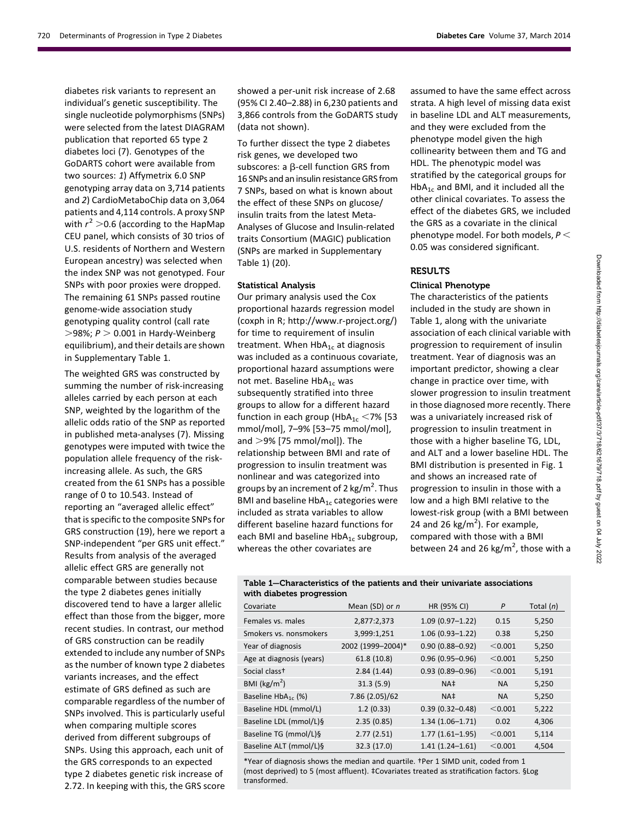diabetes risk variants to represent an individual's genetic susceptibility. The single nucleotide polymorphisms (SNPs) were selected from the latest DIAGRAM publication that reported 65 type 2 diabetes loci (7). Genotypes of the GoDARTS cohort were available from two sources: 1) Affymetrix 6.0 SNP genotyping array data on 3,714 patients and 2) CardioMetaboChip data on 3,064 patients and 4,114 controls. A proxy SNP with  $r^2 > 0.6$  (according to the HapMap CEU panel, which consists of 30 trios of U.S. residents of Northern and Western European ancestry) was selected when the index SNP was not genotyped. Four SNPs with poor proxies were dropped. The remaining 61 SNPs passed routine genome-wide association study genotyping quality control (call rate  $>$ 98%; P  $>$  0.001 in Hardy-Weinberg equilibrium), and their details are shown in [Supplementary Table 1.](http://care.diabetesjournals.org/lookup/suppl/doi:10.2337/dc13-1995/-/DC1)

The weighted GRS was constructed by summing the number of risk-increasing alleles carried by each person at each SNP, weighted by the logarithm of the allelic odds ratio of the SNP as reported in published meta-analyses (7). Missing genotypes were imputed with twice the population allele frequency of the riskincreasing allele. As such, the GRS created from the 61 SNPs has a possible range of 0 to 10.543. Instead of reporting an "averaged allelic effect" that is specific to the composite SNPs for GRS construction (19), here we report a SNP-independent "per GRS unit effect." Results from analysis of the averaged allelic effect GRS are generally not comparable between studies because the type 2 diabetes genes initially discovered tend to have a larger allelic effect than those from the bigger, more recent studies. In contrast, our method of GRS construction can be readily extended to include any number of SNPs as the number of known type 2 diabetes variants increases, and the effect estimate of GRS defined as such are comparable regardless of the number of SNPs involved. This is particularly useful when comparing multiple scores derived from different subgroups of SNPs. Using this approach, each unit of the GRS corresponds to an expected type 2 diabetes genetic risk increase of 2.72. In keeping with this, the GRS score

showed a per-unit risk increase of 2.68 (95% CI 2.40–2.88) in 6,230 patients and 3,866 controls from the GoDARTS study (data not shown).

To further dissect the type 2 diabetes risk genes, we developed two subscores: a  $\beta$ -cell function GRS from 16 SNPs and an insulin resistance GRS from 7 SNPs, based on what is known about the effect of these SNPs on glucose/ insulin traits from the latest Meta-Analyses of Glucose and Insulin-related traits Consortium (MAGIC) publication (SNPs are marked in [Supplementary](http://care.diabetesjournals.org/lookup/suppl/doi:10.2337/dc13-1995/-/DC1) [Table 1](http://care.diabetesjournals.org/lookup/suppl/doi:10.2337/dc13-1995/-/DC1)) (20).

#### Statistical Analysis

Our primary analysis used the Cox proportional hazards regression model (coxph in R; [http://www.r-project.org/\)](http://www.r-project.org/) for time to requirement of insulin treatment. When  $HbA_{1c}$  at diagnosis was included as a continuous covariate, proportional hazard assumptions were not met. Baseline  $HbA_{1c}$  was subsequently stratified into three groups to allow for a different hazard function in each group (HbA<sub>1c</sub> <7% [53 mmol/mol], 7–9% [53–75 mmol/mol], and  $>9\%$  [75 mmol/mol]). The relationship between BMI and rate of progression to insulin treatment was nonlinear and was categorized into groups by an increment of 2 kg/m<sup>2</sup>. Thus BMI and baseline  $HbA_{1c}$  categories were included as strata variables to allow different baseline hazard functions for each BMI and baseline  $HbA_{1c}$  subgroup, whereas the other covariates are

assumed to have the same effect across strata. A high level of missing data exist in baseline LDL and ALT measurements, and they were excluded from the phenotype model given the high collinearity between them and TG and HDL. The phenotypic model was stratified by the categorical groups for  $HbA_{1c}$  and BMI, and it included all the other clinical covariates. To assess the effect of the diabetes GRS, we included the GRS as a covariate in the clinical phenotype model. For both models,  $P <$ 0.05 was considered significant.

# **RESULTS**

#### Clinical Phenotype

The characteristics of the patients included in the study are shown in Table 1, along with the univariate association of each clinical variable with progression to requirement of insulin treatment. Year of diagnosis was an important predictor, showing a clear change in practice over time, with slower progression to insulin treatment in those diagnosed more recently. There was a univariately increased risk of progression to insulin treatment in those with a higher baseline TG, LDL, and ALT and a lower baseline HDL. The BMI distribution is presented in Fig. 1 and shows an increased rate of progression to insulin in those with a low and a high BMI relative to the lowest-risk group (with a BMI between 24 and 26  $\text{kg/m}^2$ ). For example, compared with those with a BMI between 24 and 26  $\text{kg/m}^2$ , those with a

## Table 1—Characteristics of the patients and their univariate associations with diabetes progression

| Covariate                | Mean (SD) or $n$  | HR (95% CI)         | P         | Total $(n)$ |
|--------------------------|-------------------|---------------------|-----------|-------------|
| Females vs. males        | 2,877:2,373       | $1.09(0.97 - 1.22)$ | 0.15      | 5,250       |
| Smokers vs. nonsmokers   | 3,999:1,251       | $1.06(0.93 - 1.22)$ | 0.38      | 5,250       |
| Year of diagnosis        | 2002 (1999-2004)* | $0.90(0.88 - 0.92)$ | < 0.001   | 5,250       |
| Age at diagnosis (years) | 61.8(10.8)        | $0.96(0.95 - 0.96)$ | < 0.001   | 5,250       |
| Social class+            | 2.84(1.44)        | $0.93(0.89 - 0.96)$ | < 0.001   | 5,191       |
| BMI ( $\text{kg/m}^2$ )  | 31.3(5.9)         | NA‡                 | <b>NA</b> | 5,250       |
| Baseline $HbA_{1c}$ (%)  | 7.86 (2.05)/62    | NA‡                 | <b>NA</b> | 5,250       |
| Baseline HDL (mmol/L)    | 1.2(0.33)         | $0.39(0.32 - 0.48)$ | < 0.001   | 5,222       |
| Baseline LDL (mmol/L)§   | 2.35(0.85)        | $1.34(1.06 - 1.71)$ | 0.02      | 4,306       |
| Baseline TG (mmol/L)§    | 2.77(2.51)        | $1.77(1.61 - 1.95)$ | < 0.001   | 5,114       |
| Baseline ALT (mmol/L)§   | 32.3 (17.0)       | $1.41(1.24 - 1.61)$ | < 0.001   | 4,504       |

\*Year of diagnosis shows the median and quartile. †Per 1 SIMD unit, coded from 1 (most deprived) to 5 (most affluent). ‡Covariates treated as stratification factors. §Log transformed.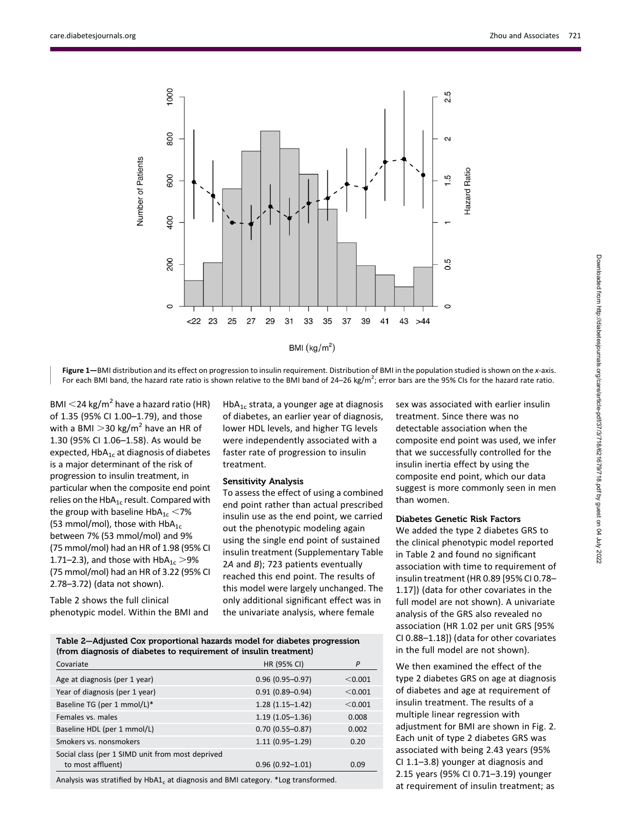

BMI  $\left(\frac{kg}{m^2}\right)$ 

Figure 1—BMI distribution and its effect on progression to insulin requirement. Distribution of BMI in the population studied is shown on the x-axis. For each BMI band, the hazard rate ratio is shown relative to the BMI band of 24–26 kg/m<sup>2</sup>; error bars are the 95% CIs for the hazard rate ratio.

BMI  $<$  24 kg/m<sup>2</sup> have a hazard ratio (HR) of 1.35 (95% CI 1.00–1.79), and those with a BMI  $>$ 30 kg/m<sup>2</sup> have an HR of 1.30 (95% CI 1.06–1.58). As would be expected,  $HbA_{1c}$  at diagnosis of diabetes is a major determinant of the risk of progression to insulin treatment, in particular when the composite end point relies on the  $HbA_{1c}$  result. Compared with the group with baseline  $HbA_{1c} < 7%$ (53 mmol/mol), those with  $HbA_{1c}$ between 7% (53 mmol/mol) and 9% (75 mmol/mol) had an HR of 1.98 (95% CI 1.71–2.3), and those with  $HbA_{1c} > 9%$ (75 mmol/mol) had an HR of 3.22 (95% CI 2.78–3.72) (data not shown).

Table 2 shows the full clinical phenotypic model. Within the BMI and  $HbA_{1c}$  strata, a younger age at diagnosis of diabetes, an earlier year of diagnosis, lower HDL levels, and higher TG levels were independently associated with a faster rate of progression to insulin treatment.

#### Sensitivity Analysis

To assess the effect of using a combined end point rather than actual prescribed insulin use as the end point, we carried out the phenotypic modeling again using the single end point of sustained insulin treatment ([Supplementary Table](http://care.diabetesjournals.org/lookup/suppl/doi:10.2337/dc13-1995/-/DC1) 2A [and](http://care.diabetesjournals.org/lookup/suppl/doi:10.2337/dc13-1995/-/DC1) B); 723 patients eventually reached this end point. The results of this model were largely unchanged. The only additional significant effect was in the univariate analysis, where female

Table 2—Adjusted Cox proportional hazards model for diabetes progression (from diagnosis of diabetes to requirement of insulin treatment)

| Covariate                                                             | HR (95% CI)         | P       |
|-----------------------------------------------------------------------|---------------------|---------|
| Age at diagnosis (per 1 year)                                         | $0.96(0.95 - 0.97)$ | < 0.001 |
| Year of diagnosis (per 1 year)                                        | $0.91(0.89 - 0.94)$ | < 0.001 |
| Baseline TG (per 1 mmol/L)*                                           | $1.28(1.15 - 1.42)$ | < 0.001 |
| Females vs. males                                                     | $1.19(1.05 - 1.36)$ | 0.008   |
| Baseline HDL (per 1 mmol/L)                                           | $0.70(0.55 - 0.87)$ | 0.002   |
| Smokers vs. nonsmokers                                                | $1.11(0.95 - 1.29)$ | 0.20    |
| Social class (per 1 SIMD unit from most deprived<br>to most affluent) | $0.96(0.92 - 1.01)$ | 0.09    |
|                                                                       |                     |         |

Analysis was stratified by  $HbA1_c$  at diagnosis and BMI category. \*Log transformed.

sex was associated with earlier insulin treatment. Since there was no detectable association when the composite end point was used, we infer that we successfully controlled for the insulin inertia effect by using the composite end point, which our data suggest is more commonly seen in men than women.

## Diabetes Genetic Risk Factors

We added the type 2 diabetes GRS to the clinical phenotypic model reported in Table 2 and found no significant association with time to requirement of insulin treatment (HR 0.89 [95% CI 0.78– 1.17]) (data for other covariates in the full model are not shown). A univariate analysis of the GRS also revealed no association (HR 1.02 per unit GRS [95% CI 0.88–1.18]) (data for other covariates in the full model are not shown).

We then examined the effect of the type 2 diabetes GRS on age at diagnosis of diabetes and age at requirement of insulin treatment. The results of a multiple linear regression with adjustment for BMI are shown in Fig. 2. Each unit of type 2 diabetes GRS was associated with being 2.43 years (95% CI 1.1–3.8) younger at diagnosis and 2.15 years (95% CI 0.71–3.19) younger at requirement of insulin treatment; as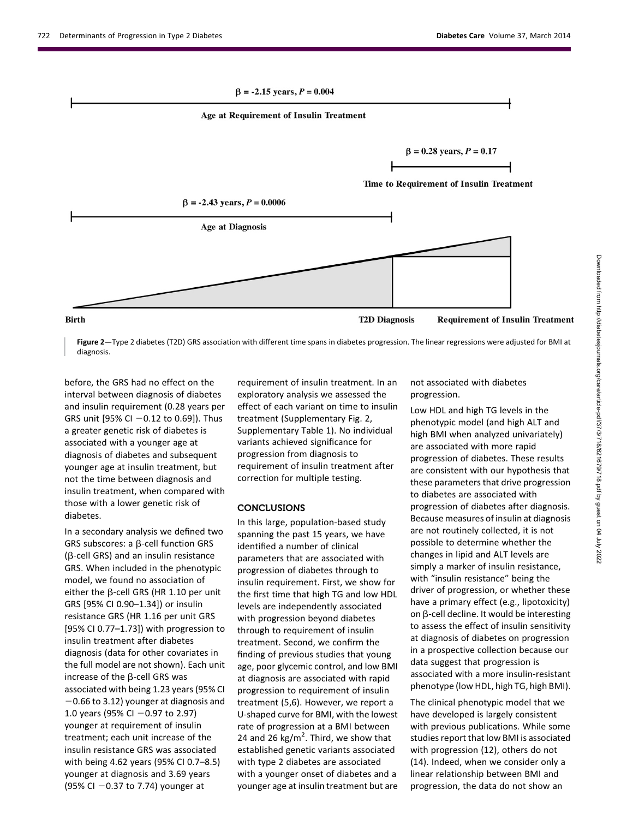

Figure 2—Type 2 diabetes (T2D) GRS association with different time spans in diabetes progression. The linear regressions were adjusted for BMI at diagnosis.

before, the GRS had no effect on the interval between diagnosis of diabetes and insulin requirement (0.28 years per GRS unit [95% CI  $-0.12$  to 0.69]). Thus a greater genetic risk of diabetes is associated with a younger age at diagnosis of diabetes and subsequent younger age at insulin treatment, but not the time between diagnosis and insulin treatment, when compared with those with a lower genetic risk of diabetes.

In a secondary analysis we defined two GRS subscores: a  $\beta$ -cell function GRS (b-cell GRS) and an insulin resistance GRS. When included in the phenotypic model, we found no association of either the  $\beta$ -cell GRS (HR 1.10 per unit GRS [95% CI 0.90–1.34]) or insulin resistance GRS (HR 1.16 per unit GRS [95% CI 0.77–1.73]) with progression to insulin treatment after diabetes diagnosis (data for other covariates in the full model are not shown). Each unit increase of the  $\beta$ -cell GRS was associated with being 1.23 years (95% CI  $-0.66$  to 3.12) younger at diagnosis and 1.0 years (95% CI  $-0.97$  to 2.97) younger at requirement of insulin treatment; each unit increase of the insulin resistance GRS was associated with being 4.62 years (95% CI 0.7–8.5) younger at diagnosis and 3.69 years (95% CI  $-0.37$  to 7.74) younger at

requirement of insulin treatment. In an exploratory analysis we assessed the effect of each variant on time to insulin treatment ([Supplementary Fig. 2,](http://care.diabetesjournals.org/lookup/suppl/doi:10.2337/dc13-1995/-/DC1) [Supplementary Table 1\)](http://care.diabetesjournals.org/lookup/suppl/doi:10.2337/dc13-1995/-/DC1). No individual variants achieved significance for progression from diagnosis to requirement of insulin treatment after correction for multiple testing.

# CONCLUSIONS

In this large, population-based study spanning the past 15 years, we have identified a number of clinical parameters that are associated with progression of diabetes through to insulin requirement. First, we show for the first time that high TG and low HDL levels are independently associated with progression beyond diabetes through to requirement of insulin treatment. Second, we confirm the finding of previous studies that young age, poor glycemic control, and low BMI at diagnosis are associated with rapid progression to requirement of insulin treatment (5,6). However, we report a U-shaped curve for BMI, with the lowest rate of progression at a BMI between 24 and 26  $\text{kg/m}^2$ . Third, we show that established genetic variants associated with type 2 diabetes are associated with a younger onset of diabetes and a younger age at insulin treatment but are

not associated with diabetes progression.

Low HDL and high TG levels in the phenotypic model (and high ALT and high BMI when analyzed univariately) are associated with more rapid progression of diabetes. These results are consistent with our hypothesis that these parameters that drive progression to diabetes are associated with progression of diabetes after diagnosis. Because measures of insulin at diagnosis are not routinely collected, it is not possible to determine whether the changes in lipid and ALT levels are simply a marker of insulin resistance, with "insulin resistance" being the driver of progression, or whether these have a primary effect (e.g., lipotoxicity) on  $\beta$ -cell decline. It would be interesting to assess the effect of insulin sensitivity at diagnosis of diabetes on progression in a prospective collection because our data suggest that progression is associated with a more insulin-resistant phenotype (low HDL, high TG, high BMI).

The clinical phenotypic model that we have developed is largely consistent with previous publications. While some studies report that low BMI is associated with progression (12), others do not (14). Indeed, when we consider only a linear relationship between BMI and progression, the data do not show an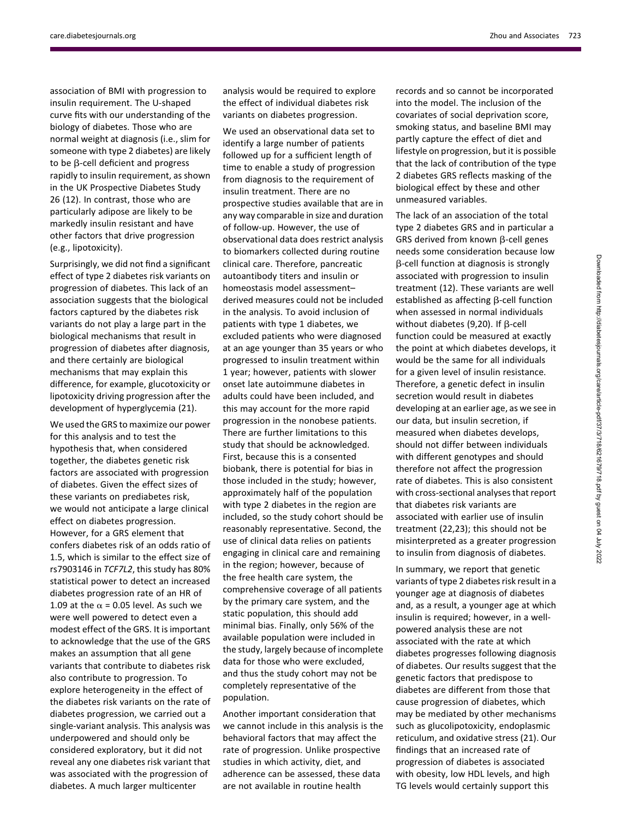association of BMI with progression to insulin requirement. The U-shaped curve fits with our understanding of the biology of diabetes. Those who are normal weight at diagnosis (i.e., slim for someone with type 2 diabetes) are likely to be  $\beta$ -cell deficient and progress rapidly to insulin requirement, as shown in the UK Prospective Diabetes Study 26 (12). In contrast, those who are particularly adipose are likely to be markedly insulin resistant and have other factors that drive progression (e.g., lipotoxicity).

Surprisingly, we did not find a significant effect of type 2 diabetes risk variants on progression of diabetes. This lack of an association suggests that the biological factors captured by the diabetes risk variants do not play a large part in the biological mechanisms that result in progression of diabetes after diagnosis, and there certainly are biological mechanisms that may explain this difference, for example, glucotoxicity or lipotoxicity driving progression after the development of hyperglycemia (21).

We used the GRS to maximize our power for this analysis and to test the hypothesis that, when considered together, the diabetes genetic risk factors are associated with progression of diabetes. Given the effect sizes of these variants on prediabetes risk, we would not anticipate a large clinical effect on diabetes progression. However, for a GRS element that confers diabetes risk of an odds ratio of 1.5, which is similar to the effect size of rs7903146 in TCF7L2, this study has 80% statistical power to detect an increased diabetes progression rate of an HR of 1.09 at the  $\alpha$  = 0.05 level. As such we were well powered to detect even a modest effect of the GRS. It is important to acknowledge that the use of the GRS makes an assumption that all gene variants that contribute to diabetes risk also contribute to progression. To explore heterogeneity in the effect of the diabetes risk variants on the rate of diabetes progression, we carried out a single-variant analysis. This analysis was underpowered and should only be considered exploratory, but it did not reveal any one diabetes risk variant that was associated with the progression of diabetes. A much larger multicenter

analysis would be required to explore the effect of individual diabetes risk variants on diabetes progression.

We used an observational data set to identify a large number of patients followed up for a sufficient length of time to enable a study of progression from diagnosis to the requirement of insulin treatment. There are no prospective studies available that are in any way comparable in size and duration of follow-up. However, the use of observational data does restrict analysis to biomarkers collected during routine clinical care. Therefore, pancreatic autoantibody titers and insulin or homeostasis model assessment– derived measures could not be included in the analysis. To avoid inclusion of patients with type 1 diabetes, we excluded patients who were diagnosed at an age younger than 35 years or who progressed to insulin treatment within 1 year; however, patients with slower onset late autoimmune diabetes in adults could have been included, and this may account for the more rapid progression in the nonobese patients. There are further limitations to this study that should be acknowledged. First, because this is a consented biobank, there is potential for bias in those included in the study; however, approximately half of the population with type 2 diabetes in the region are included, so the study cohort should be reasonably representative. Second, the use of clinical data relies on patients engaging in clinical care and remaining in the region; however, because of the free health care system, the comprehensive coverage of all patients by the primary care system, and the static population, this should add minimal bias. Finally, only 56% of the available population were included in the study, largely because of incomplete data for those who were excluded, and thus the study cohort may not be completely representative of the population.

Another important consideration that we cannot include in this analysis is the behavioral factors that may affect the rate of progression. Unlike prospective studies in which activity, diet, and adherence can be assessed, these data are not available in routine health

records and so cannot be incorporated into the model. The inclusion of the covariates of social deprivation score, smoking status, and baseline BMI may partly capture the effect of diet and lifestyle on progression, but it is possible that the lack of contribution of the type 2 diabetes GRS reflects masking of the biological effect by these and other unmeasured variables.

The lack of an association of the total type 2 diabetes GRS and in particular a GRS derived from known  $\beta$ -cell genes needs some consideration because low b-cell function at diagnosis is strongly associated with progression to insulin treatment (12). These variants are well established as affecting  $\beta$ -cell function when assessed in normal individuals without diabetes (9,20). If  $\beta$ -cell function could be measured at exactly the point at which diabetes develops, it would be the same for all individuals for a given level of insulin resistance. Therefore, a genetic defect in insulin secretion would result in diabetes developing at an earlier age, as we see in our data, but insulin secretion, if measured when diabetes develops, should not differ between individuals with different genotypes and should therefore not affect the progression rate of diabetes. This is also consistent with cross-sectional analyses that report that diabetes risk variants are associated with earlier use of insulin treatment (22,23); this should not be misinterpreted as a greater progression to insulin from diagnosis of diabetes.

In summary, we report that genetic variants of type 2 diabetes risk result in a younger age at diagnosis of diabetes and, as a result, a younger age at which insulin is required; however, in a wellpowered analysis these are not associated with the rate at which diabetes progresses following diagnosis of diabetes. Our results suggest that the genetic factors that predispose to diabetes are different from those that cause progression of diabetes, which may be mediated by other mechanisms such as glucolipotoxicity, endoplasmic reticulum, and oxidative stress (21). Our findings that an increased rate of progression of diabetes is associated with obesity, low HDL levels, and high TG levels would certainly support this